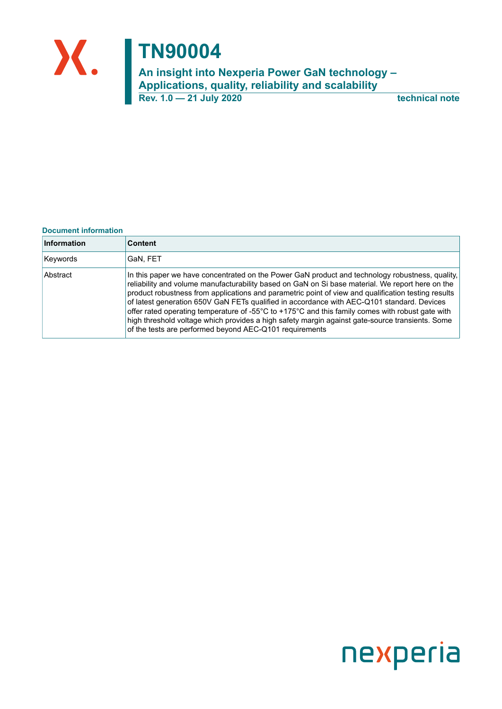

**Rev. 1.0 — 21 July 2020 technical note**

#### **Document information**

| Information | <b>Content</b>                                                                                                                                                                                                                                                                                                                                                                                                                                                                                                                                                                                                                                                             |
|-------------|----------------------------------------------------------------------------------------------------------------------------------------------------------------------------------------------------------------------------------------------------------------------------------------------------------------------------------------------------------------------------------------------------------------------------------------------------------------------------------------------------------------------------------------------------------------------------------------------------------------------------------------------------------------------------|
| Keywords    | GaN, FET                                                                                                                                                                                                                                                                                                                                                                                                                                                                                                                                                                                                                                                                   |
| Abstract    | In this paper we have concentrated on the Power GaN product and technology robustness, quality,<br>reliability and volume manufacturability based on GaN on Si base material. We report here on the<br>product robustness from applications and parametric point of view and qualification testing results<br>of latest generation 650V GaN FETs qualified in accordance with AEC-Q101 standard. Devices<br>offer rated operating temperature of -55°C to +175°C and this family comes with robust gate with<br>high threshold voltage which provides a high safety margin against gate-source transients. Some<br>of the tests are performed beyond AEC-Q101 requirements |

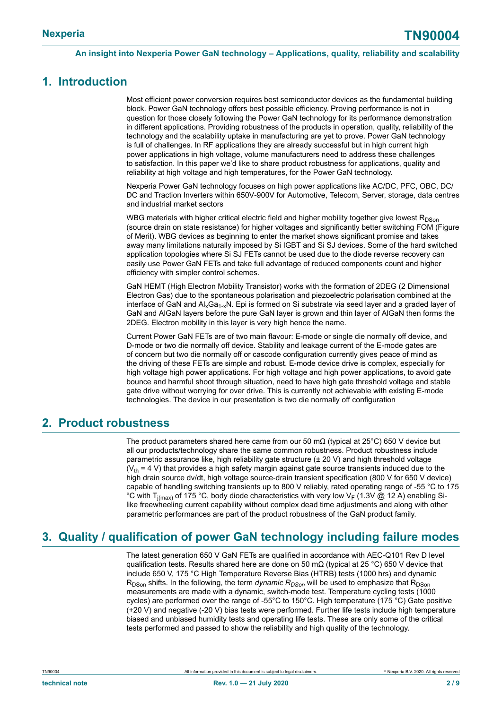### <span id="page-1-0"></span>**1. Introduction**

Most efficient power conversion requires best semiconductor devices as the fundamental building block. Power GaN technology offers best possible efficiency. Proving performance is not in question for those closely following the Power GaN technology for its performance demonstration in different applications. Providing robustness of the products in operation, quality, reliability of the technology and the scalability uptake in manufacturing are yet to prove. Power GaN technology is full of challenges. In RF applications they are already successful but in high current high power applications in high voltage, volume manufacturers need to address these challenges to satisfaction. In this paper we'd like to share product robustness for applications, quality and reliability at high voltage and high temperatures, for the Power GaN technology.

Nexperia Power GaN technology focuses on high power applications like AC/DC, PFC, OBC, DC/ DC and Traction Inverters within 650V-900V for Automotive, Telecom, Server, storage, data centres and industrial market sectors

WBG materials with higher critical electric field and higher mobility together give lowest  $R_{DSon}$ (source drain on state resistance) for higher voltages and significantly better switching FOM (Figure of Merit). WBG devices as beginning to enter the market shows significant promise and takes away many limitations naturally imposed by Si IGBT and Si SJ devices. Some of the hard switched application topologies where Si SJ FETs cannot be used due to the diode reverse recovery can easily use Power GaN FETs and take full advantage of reduced components count and higher efficiency with simpler control schemes.

GaN HEMT (High Electron Mobility Transistor) works with the formation of 2DEG (2 Dimensional Electron Gas) due to the spontaneous polarisation and piezoelectric polarisation combined at the interface of GaN and  $A_xGa_{1-x}N$ . Epi is formed on Si substrate via seed layer and a graded layer of GaN and AlGaN layers before the pure GaN layer is grown and thin layer of AlGaN then forms the 2DEG. Electron mobility in this layer is very high hence the name.

Current Power GaN FETs are of two main flavour: E-mode or single die normally off device, and D-mode or two die normally off device. Stability and leakage current of the E-mode gates are of concern but two die normally off or cascode configuration currently gives peace of mind as the driving of these FETs are simple and robust. E-mode device drive is complex, especially for high voltage high power applications. For high voltage and high power applications, to avoid gate bounce and harmful shoot through situation, need to have high gate threshold voltage and stable gate drive without worrying for over drive. This is currently not achievable with existing E-mode technologies. The device in our presentation is two die normally off configuration

### <span id="page-1-1"></span>**2. Product robustness**

The product parameters shared here came from our 50 mΩ (typical at 25°C) 650 V device but all our products/technology share the same common robustness. Product robustness include parametric assurance like, high reliability gate structure (± 20 V) and high threshold voltage  $(V<sub>th</sub> = 4 V)$  that provides a high safety margin against gate source transients induced due to the high drain source dv/dt, high voltage source-drain transient specification (800 V for 650 V device) capable of handling switching transients up to 800 V reliably, rated operating range of -55 °C to 175 °C with T<sub>i(max)</sub> of 175 °C, body diode characteristics with very low V<sub>F</sub> (1.3V @ 12 A) enabling Silike freewheeling current capability without complex dead time adjustments and along with other parametric performances are part of the product robustness of the GaN product family.

## <span id="page-1-2"></span>**3. Quality / qualification of power GaN technology including failure modes**

The latest generation 650 V GaN FETs are qualified in accordance with AEC-Q101 Rev D level qualification tests. Results shared here are done on 50 m $\Omega$  (typical at 25 °C) 650 V device that include 650 V, 175 °C High Temperature Reverse Bias (HTRB) tests (1000 hrs) and dynamic R<sub>DSon</sub> shifts. In the following, the term *dynamic R<sub>DSon</sub>* will be used to emphasize that R<sub>DSon</sub> measurements are made with a dynamic, switch-mode test. Temperature cycling tests (1000 cycles) are performed over the range of -55°C to 150°C. High temperature (175 °C) Gate positive (+20 V) and negative (-20 V) bias tests were performed. Further life tests include high temperature biased and unbiased humidity tests and operating life tests. These are only some of the critical tests performed and passed to show the reliability and high quality of the technology.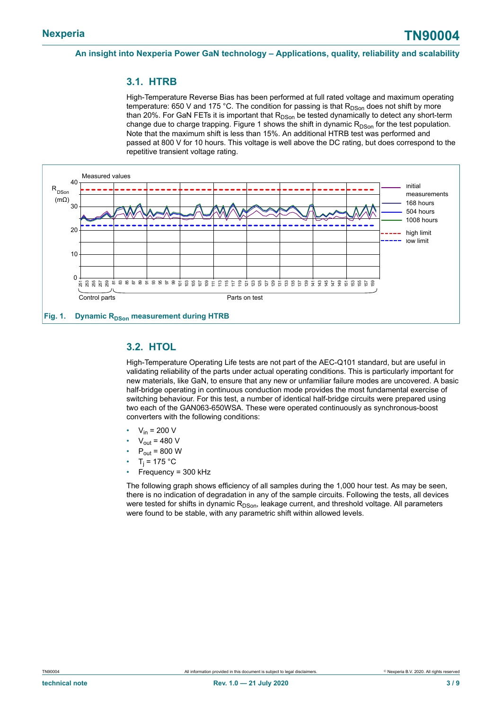### <span id="page-2-1"></span>**3.1. HTRB**

High-Temperature Reverse Bias has been performed at full rated voltage and maximum operating temperature: 650 V and 175 °C. The condition for passing is that  $R_{DSon}$  does not shift by more than 20%. For GaN FETs it is important that  $R_{DSon}$  be tested dynamically to detect any short-term change due to charge trapping. Figure 1 shows the shift in dynamic  $R_{DSon}$  for the test population. Note that the maximum shift is less than 15%. An additional HTRB test was performed and passed at 800 V for 10 hours. This voltage is well above the DC rating, but does correspond to the repetitive transient voltage rating.

<span id="page-2-0"></span>

### <span id="page-2-2"></span>**3.2. HTOL**

High-Temperature Operating Life tests are not part of the AEC-Q101 standard, but are useful in validating reliability of the parts under actual operating conditions. This is particularly important for new materials, like GaN, to ensure that any new or unfamiliar failure modes are uncovered. A basic half-bridge operating in continuous conduction mode provides the most fundamental exercise of switching behaviour. For this test, a number of identical half-bridge circuits were prepared using two each of the GAN063-650WSA. These were operated continuously as synchronous-boost converters with the following conditions:

- $V_{in}$  = 200 V
- $V_{\text{out}}$  = 480 V
- $P_{\text{out}}$  = 800 W
- T<sub>j</sub> = 175 °C
- Frequency = 300 kHz

The following graph shows efficiency of all samples during the 1,000 hour test. As may be seen, there is no indication of degradation in any of the sample circuits. Following the tests, all devices were tested for shifts in dynamic R<sub>DSon</sub>, leakage current, and threshold voltage. All parameters were found to be stable, with any parametric shift within allowed levels.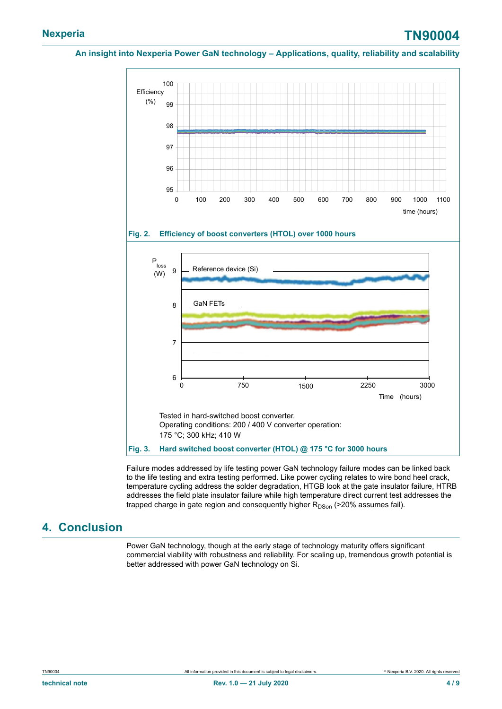# **Nexperia TN90004**

### **An insight into Nexperia Power GaN technology – Applications, quality, reliability and scalability**

<span id="page-3-1"></span><span id="page-3-0"></span>

Failure modes addressed by life testing power GaN technology failure modes can be linked back to the life testing and extra testing performed. Like power cycling relates to wire bond heel crack, temperature cycling address the solder degradation, HTGB look at the gate insulator failure, HTRB addresses the field plate insulator failure while high temperature direct current test addresses the trapped charge in gate region and consequently higher  $R_{DSon}$  (>20% assumes fail).

## <span id="page-3-2"></span>**4. Conclusion**

Power GaN technology, though at the early stage of technology maturity offers significant commercial viability with robustness and reliability. For scaling up, tremendous growth potential is better addressed with power GaN technology on Si.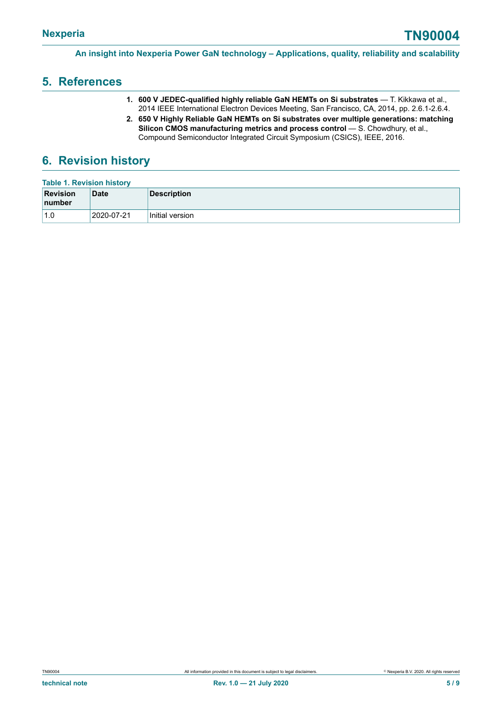## <span id="page-4-1"></span>**5. References**

- **1. 600 V JEDEC-qualified highly reliable GaN HEMTs on Si substrates** T. Kikkawa et al., 2014 IEEE International Electron Devices Meeting, San Francisco, CA, 2014, pp. 2.6.1-2.6.4.
- <span id="page-4-0"></span>**2. 650 V Highly Reliable GaN HEMTs on Si substrates over multiple generations: matching Silicon CMOS manufacturing metrics and process control** — S. Chowdhury, et al., Compound Semiconductor Integrated Circuit Symposium (CSICS), IEEE, 2016.

## <span id="page-4-2"></span>**6. Revision history**

| <b>Table 1. Revision history</b>  |             |                 |  |  |
|-----------------------------------|-------------|-----------------|--|--|
| <b>Revision</b><br><b>Inumber</b> | <b>Date</b> | Description     |  |  |
| 1.0                               | 2020-07-21  | Initial version |  |  |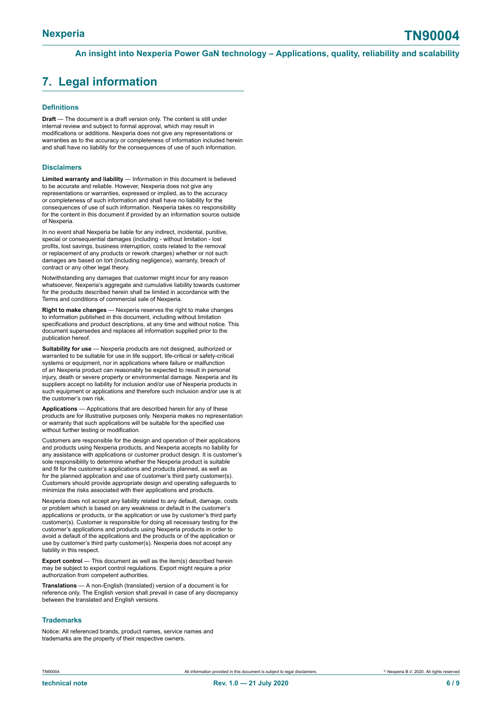# <span id="page-5-0"></span>**7. Legal information**

#### **Definitions**

**Draft** — The document is a draft version only. The content is still under internal review and subject to formal approval, which may result in modifications or additions. Nexperia does not give any representations or warranties as to the accuracy or completeness of information included herein and shall have no liability for the consequences of use of such information.

#### **Disclaimers**

**Limited warranty and liability** — Information in this document is believed to be accurate and reliable. However, Nexperia does not give any representations or warranties, expressed or implied, as to the accuracy or completeness of such information and shall have no liability for the consequences of use of such information. Nexperia takes no responsibility for the content in this document if provided by an information source outside of Nexperia.

In no event shall Nexperia be liable for any indirect, incidental, punitive, special or consequential damages (including - without limitation - lost profits, lost savings, business interruption, costs related to the removal or replacement of any products or rework charges) whether or not such damages are based on tort (including negligence), warranty, breach of contract or any other legal theory.

Notwithstanding any damages that customer might incur for any reason whatsoever, Nexperia's aggregate and cumulative liability towards customer for the products described herein shall be limited in accordance with the Terms and conditions of commercial sale of Nexperia.

**Right to make changes** — Nexperia reserves the right to make changes to information published in this document, including without limitation specifications and product descriptions, at any time and without notice. This document supersedes and replaces all information supplied prior to the publication hereof.

**Suitability for use** — Nexperia products are not designed, authorized or warranted to be suitable for use in life support, life-critical or safety-critical systems or equipment, nor in applications where failure or malfunction of an Nexperia product can reasonably be expected to result in personal injury, death or severe property or environmental damage. Nexperia and its suppliers accept no liability for inclusion and/or use of Nexperia products in such equipment or applications and therefore such inclusion and/or use is at the customer's own risk.

**Applications** — Applications that are described herein for any of these products are for illustrative purposes only. Nexperia makes no representation or warranty that such applications will be suitable for the specified use without further testing or modification.

Customers are responsible for the design and operation of their applications and products using Nexperia products, and Nexperia accepts no liability for any assistance with applications or customer product design. It is customer's sole responsibility to determine whether the Nexperia product is suitable and fit for the customer's applications and products planned, as well as for the planned application and use of customer's third party customer(s). Customers should provide appropriate design and operating safeguards to minimize the risks associated with their applications and products.

Nexperia does not accept any liability related to any default, damage, costs or problem which is based on any weakness or default in the customer's applications or products, or the application or use by customer's third party customer(s). Customer is responsible for doing all necessary testing for the customer's applications and products using Nexperia products in order to avoid a default of the applications and the products or of the application or use by customer's third party customer(s). Nexperia does not accept any liability in this respect.

**Export control** — This document as well as the item(s) described herein may be subject to export control regulations. Export might require a prior authorization from competent authorities.

**Translations** — A non-English (translated) version of a document is for reference only. The English version shall prevail in case of any discrepancy between the translated and English versions.

#### **Trademarks**

Notice: All referenced brands, product names, service names and trademarks are the property of their respective owners.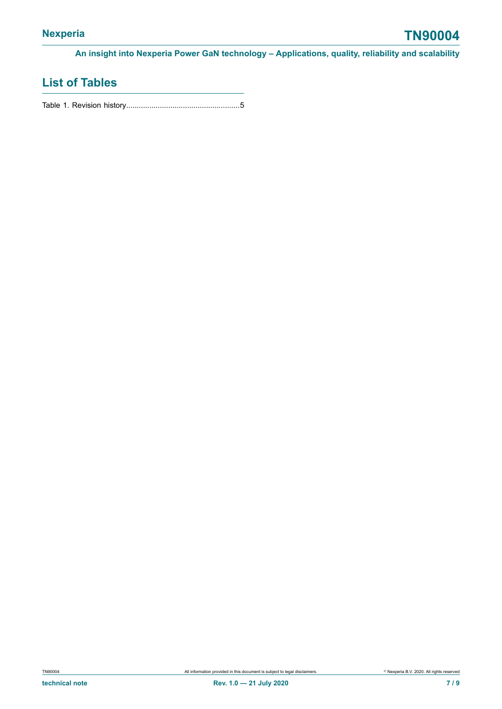# **List of Tables**

Table 1. Revision [history......................................................5](#page-4-0)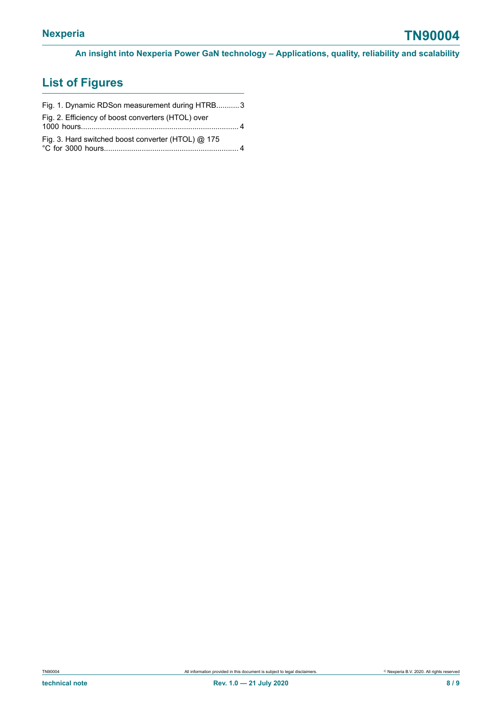# **List of Figures**

| Fig. 1. Dynamic RDSon measurement during HTRB3     |  |
|----------------------------------------------------|--|
| Fig. 2. Efficiency of boost converters (HTOL) over |  |
| Fig. 3. Hard switched boost converter (HTOL) @ 175 |  |
|                                                    |  |